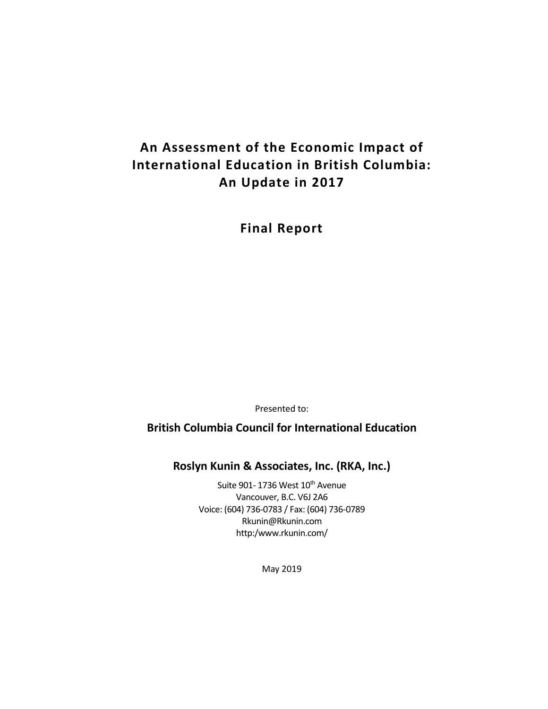# **An Assessment of the Economic Impact of International Education in British Columbia: An Update in 2017**

**Final Report**

Presented to:

**British Columbia Council for International Education**

**Roslyn Kunin & Associates, Inc. (RKA, Inc.)**

Suite 901- 1736 West 10<sup>th</sup> Avenue Vancouver, B.C. V6J 2A6 Voice: (604) 736-0783 / Fax: (604) 736-0789 Rkunin@Rkunin.com http:/www.rkunin.com/

May 2019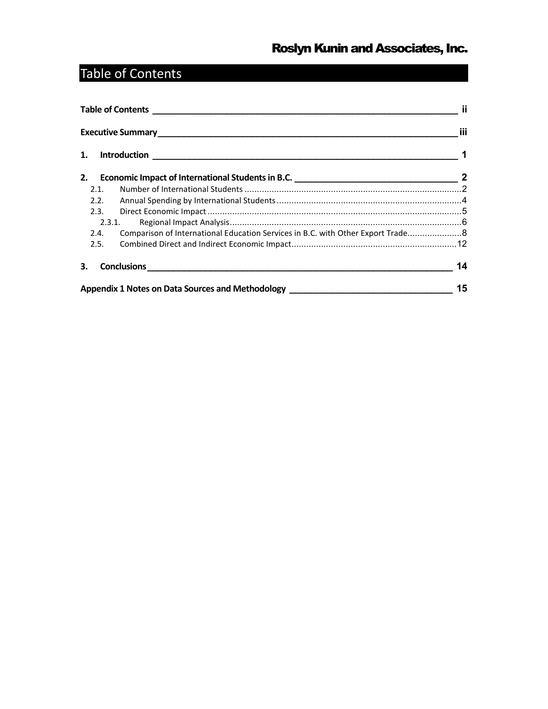# <span id="page-1-0"></span>Table of Contents

| 1.   |                                                                                   |    |
|------|-----------------------------------------------------------------------------------|----|
| 2.   |                                                                                   |    |
| 2.1. |                                                                                   |    |
| 2.2. |                                                                                   |    |
| 2.3. |                                                                                   |    |
|      | 2.3.1.                                                                            |    |
| 2.4. | Comparison of International Education Services in B.C. with Other Export Trade8   |    |
| 2.5. |                                                                                   |    |
| 3.   |                                                                                   | 14 |
|      | Appendix 1 Notes on Data Sources and Methodology ________________________________ | 15 |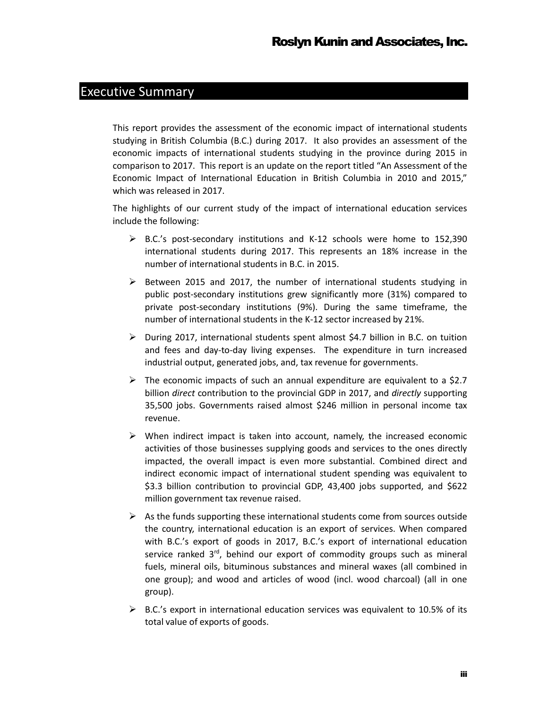### <span id="page-2-0"></span>Executive Summary

This report provides the assessment of the economic impact of international students studying in British Columbia (B.C.) during 2017. It also provides an assessment of the economic impacts of international students studying in the province during 2015 in comparison to 2017. This report is an update on the report titled "An Assessment of the Economic Impact of International Education in British Columbia in 2010 and 2015," which was released in 2017.

The highlights of our current study of the impact of international education services include the following:

- $\triangleright$  B.C.'s post-secondary institutions and K-12 schools were home to 152,390 international students during 2017. This represents an 18% increase in the number of international students in B.C. in 2015.
- $\triangleright$  Between 2015 and 2017, the number of international students studying in public post-secondary institutions grew significantly more (31%) compared to private post-secondary institutions (9%). During the same timeframe, the number of international students in the K-12 sector increased by 21%.
- $\triangleright$  During 2017, international students spent almost \$4.7 billion in B.C. on tuition and fees and day-to-day living expenses. The expenditure in turn increased industrial output, generated jobs, and, tax revenue for governments.
- $\triangleright$  The economic impacts of such an annual expenditure are equivalent to a \$2.7 billion *direct* contribution to the provincial GDP in 2017, and *directly* supporting 35,500 jobs. Governments raised almost \$246 million in personal income tax revenue.
- $\triangleright$  When indirect impact is taken into account, namely, the increased economic activities of those businesses supplying goods and services to the ones directly impacted, the overall impact is even more substantial. Combined direct and indirect economic impact of international student spending was equivalent to \$3.3 billion contribution to provincial GDP, 43,400 jobs supported, and \$622 million government tax revenue raised.
- $\triangleright$  As the funds supporting these international students come from sources outside the country, international education is an export of services. When compared with B.C.'s export of goods in 2017, B.C.'s export of international education service ranked  $3<sup>rd</sup>$ , behind our export of commodity groups such as mineral fuels, mineral oils, bituminous substances and mineral waxes (all combined in one group); and wood and articles of wood (incl. wood charcoal) (all in one group).
- $\triangleright$  B.C.'s export in international education services was equivalent to 10.5% of its total value of exports of goods.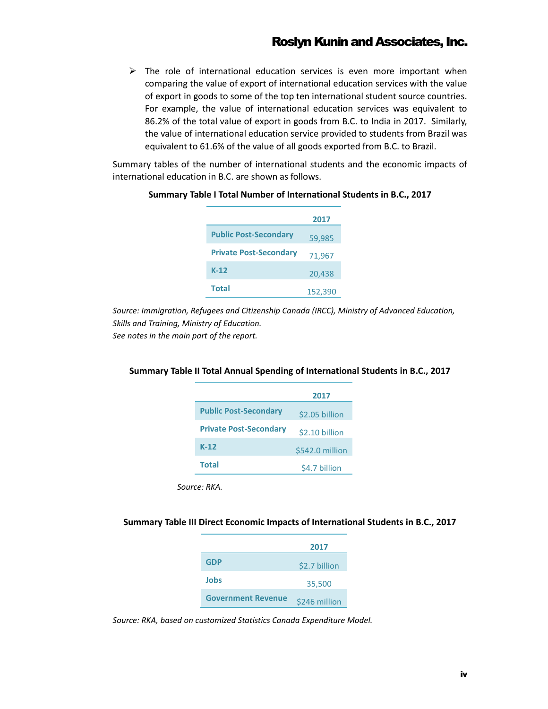$\triangleright$  The role of international education services is even more important when comparing the value of export of international education services with the value of export in goods to some of the top ten international student source countries. For example, the value of international education services was equivalent to 86.2% of the total value of export in goods from B.C. to India in 2017. Similarly, the value of international education service provided to students from Brazil was equivalent to 61.6% of the value of all goods exported from B.C. to Brazil.

Summary tables of the number of international students and the economic impacts of international education in B.C. are shown as follows.

|                               | 2017    |
|-------------------------------|---------|
| <b>Public Post-Secondary</b>  | 59,985  |
| <b>Private Post-Secondary</b> | 71,967  |
| $K-12$                        | 20,438  |
| <b>Total</b>                  | 152,390 |

#### **Summary Table I Total Number of International Students in B.C., 2017**

*Source: Immigration, Refugees and Citizenship Canada (IRCC), Ministry of Advanced Education, Skills and Training, Ministry of Education. See notes in the main part of the report.*

#### **Summary Table II Total Annual Spending of International Students in B.C., 2017**

|                               | 2017            |
|-------------------------------|-----------------|
| <b>Public Post-Secondary</b>  | \$2.05 billion  |
| <b>Private Post-Secondary</b> | \$2.10 billion  |
| $K-12$                        | \$542.0 million |
| <b>Total</b>                  | \$4.7 billion   |

*Source: RKA.*

#### **Summary Table III Direct Economic Impacts of International Students in B.C., 2017**

|                           | 2017          |
|---------------------------|---------------|
| <b>GDP</b>                | \$2.7 billion |
| Jobs                      | 35,500        |
| <b>Government Revenue</b> | \$246 million |

*Source: RKA, based on customized Statistics Canada Expenditure Model.*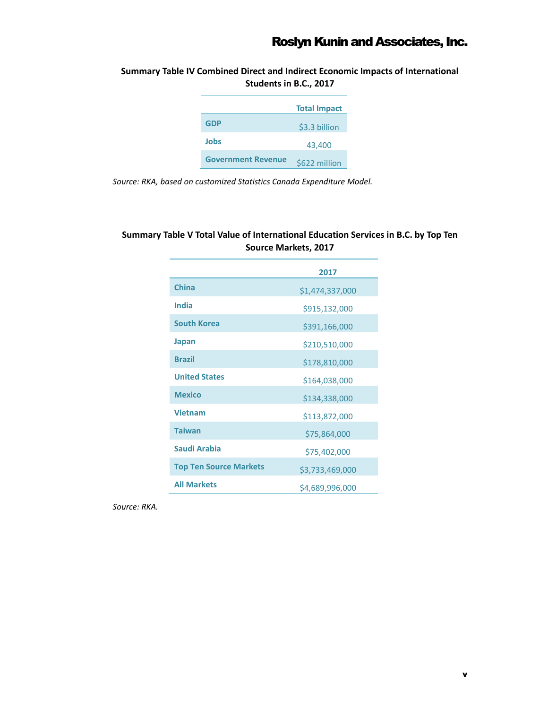**Summary Table IV Combined Direct and Indirect Economic Impacts of International Students in B.C., 2017**

|                           | <b>Total Impact</b> |
|---------------------------|---------------------|
| GDP                       | \$3.3 billion       |
| Jobs                      | 43,400              |
| <b>Government Revenue</b> | \$622 million       |

*Source: RKA, based on customized Statistics Canada Expenditure Model.*

#### **Summary Table V Total Value of International Education Services in B.C. by Top Ten Source Markets, 2017**

|                               | 2017            |
|-------------------------------|-----------------|
| <b>China</b>                  | \$1,474,337,000 |
| India                         | \$915,132,000   |
| <b>South Korea</b>            | \$391,166,000   |
| <b>Japan</b>                  | \$210,510,000   |
| <b>Brazil</b>                 | \$178,810,000   |
| <b>United States</b>          | \$164,038,000   |
| <b>Mexico</b>                 | \$134,338,000   |
| <b>Vietnam</b>                | \$113,872,000   |
| <b>Taiwan</b>                 | \$75,864,000    |
| <b>Saudi Arabia</b>           | \$75,402,000    |
| <b>Top Ten Source Markets</b> | \$3,733,469,000 |
| <b>All Markets</b>            | \$4,689,996,000 |

*Source: RKA.*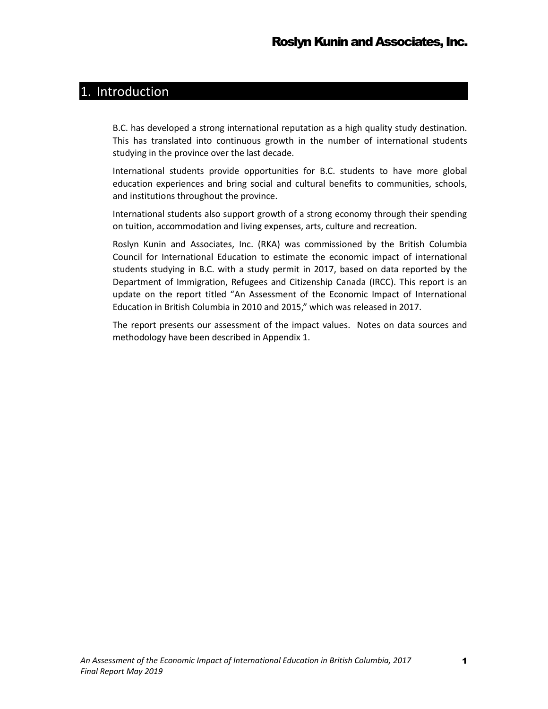### <span id="page-5-0"></span>1. Introduction

B.C. has developed a strong international reputation as a high quality study destination. This has translated into continuous growth in the number of international students studying in the province over the last decade.

International students provide opportunities for B.C. students to have more global education experiences and bring social and cultural benefits to communities, schools, and institutions throughout the province.

International students also support growth of a strong economy through their spending on tuition, accommodation and living expenses, arts, culture and recreation.

Roslyn Kunin and Associates, Inc. (RKA) was commissioned by the British Columbia Council for International Education to estimate the economic impact of international students studying in B.C. with a study permit in 2017, based on data reported by the Department of Immigration, Refugees and Citizenship Canada (IRCC). This report is an update on the report titled "An Assessment of the Economic Impact of International Education in British Columbia in 2010 and 2015," which was released in 2017.

The report presents our assessment of the impact values. Notes on data sources and methodology have been described in Appendix 1.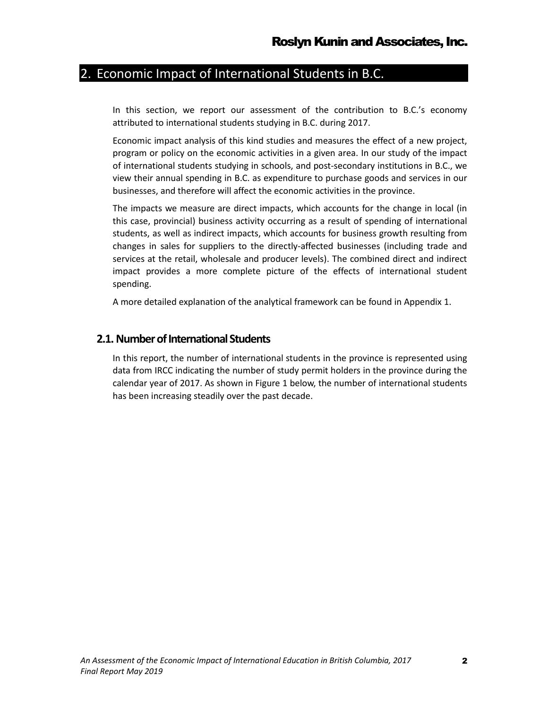# <span id="page-6-0"></span>2. Economic Impact of International Students in B.C.

In this section, we report our assessment of the contribution to B.C.'s economy attributed to international students studying in B.C. during 2017.

Economic impact analysis of this kind studies and measures the effect of a new project, program or policy on the economic activities in a given area. In our study of the impact of international students studying in schools, and post-secondary institutions in B.C., we view their annual spending in B.C. as expenditure to purchase goods and services in our businesses, and therefore will affect the economic activities in the province.

The impacts we measure are direct impacts, which accounts for the change in local (in this case, provincial) business activity occurring as a result of spending of international students, as well as indirect impacts, which accounts for business growth resulting from changes in sales for suppliers to the directly-affected businesses (including trade and services at the retail, wholesale and producer levels). The combined direct and indirect impact provides a more complete picture of the effects of international student spending.

A more detailed explanation of the analytical framework can be found in Appendix 1.

#### <span id="page-6-1"></span>**2.1.Number of International Students**

In this report, the number of international students in the province is represented using data from IRCC indicating the number of study permit holders in the province during the calendar year of 2017. As shown in Figure 1 below, the number of international students has been increasing steadily over the past decade.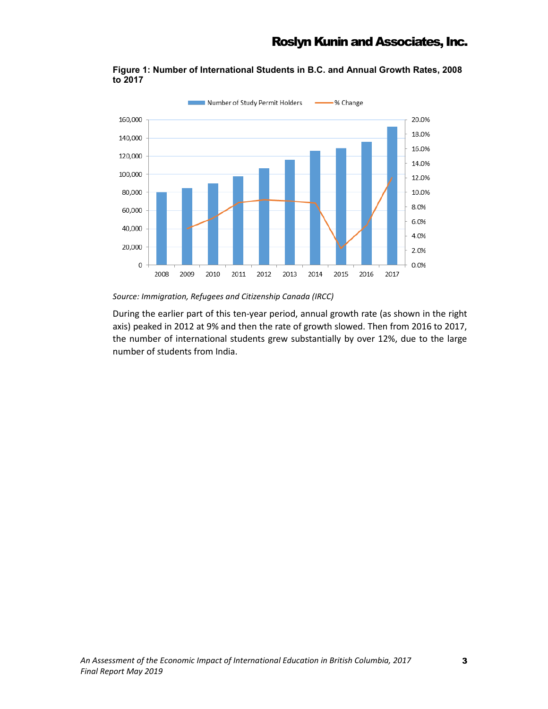

**Figure 1: Number of International Students in B.C. and Annual Growth Rates, 2008 to 2017**

*Source: Immigration, Refugees and Citizenship Canada (IRCC)*

During the earlier part of this ten-year period, annual growth rate (as shown in the right axis) peaked in 2012 at 9% and then the rate of growth slowed. Then from 2016 to 2017, the number of international students grew substantially by over 12%, due to the large number of students from India.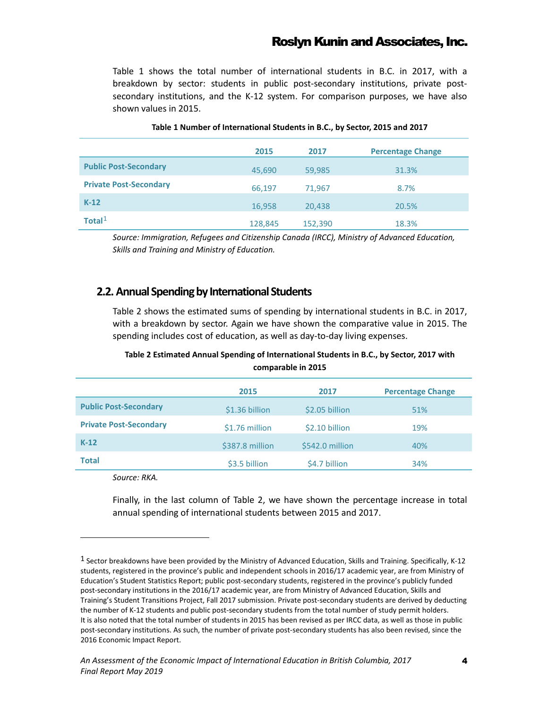Table 1 shows the total number of international students in B.C. in 2017, with a breakdown by sector: students in public post-secondary institutions, private postsecondary institutions, and the K-12 system. For comparison purposes, we have also shown values in 2015.

|                               | 2015    | 2017    | <b>Percentage Change</b> |
|-------------------------------|---------|---------|--------------------------|
| <b>Public Post-Secondary</b>  | 45,690  | 59,985  | 31.3%                    |
| <b>Private Post-Secondary</b> | 66,197  | 71,967  | 8.7%                     |
| $K-12$                        | 16,958  | 20,438  | 20.5%                    |
| Total $1$                     | 128,845 | 152,390 | 18.3%                    |

#### **Table 1 Number of International Students in B.C., by Sector, 2015 and 2017**

*Source: Immigration, Refugees and Citizenship Canada (IRCC), Ministry of Advanced Education, Skills and Training and Ministry of Education.* 

#### <span id="page-8-0"></span>**2.2.Annual Spending by International Students**

Table 2 shows the estimated sums of spending by international students in B.C. in 2017, with a breakdown by sector. Again we have shown the comparative value in 2015. The spending includes cost of education, as well as day-to-day living expenses.

#### **Table 2 Estimated Annual Spending of International Students in B.C., by Sector, 2017 with comparable in 2015**

|                               | 2015            | 2017            | <b>Percentage Change</b> |
|-------------------------------|-----------------|-----------------|--------------------------|
| <b>Public Post-Secondary</b>  | \$1.36 billion  | \$2.05 billion  | 51%                      |
| <b>Private Post-Secondary</b> | \$1.76 million  | \$2.10 billion  | 19%                      |
| $K-12$                        | \$387.8 million | \$542.0 million | 40%                      |
| <b>Total</b>                  | \$3.5 billion   | \$4.7 billion   | 34%                      |

*Source: RKA.*

 $\overline{a}$ 

Finally, in the last column of Table 2, we have shown the percentage increase in total annual spending of international students between 2015 and 2017.

<span id="page-8-1"></span><sup>1</sup> Sector breakdowns have been provided by the Ministry of Advanced Education, Skills and Training. Specifically, K-12 students, registered in the province's public and independent schools in 2016/17 academic year, are from Ministry of Education's Student Statistics Report; public post-secondary students, registered in the province's publicly funded post-secondary institutions in the 2016/17 academic year, are from Ministry of Advanced Education, Skills and Training's Student Transitions Project, Fall 2017 submission. Private post-secondary students are derived by deducting the number of K-12 students and public post-secondary students from the total number of study permit holders. It is also noted that the total number of students in 2015 has been revised as per IRCC data, as well as those in public post-secondary institutions. As such, the number of private post-secondary students has also been revised, since the 2016 Economic Impact Report.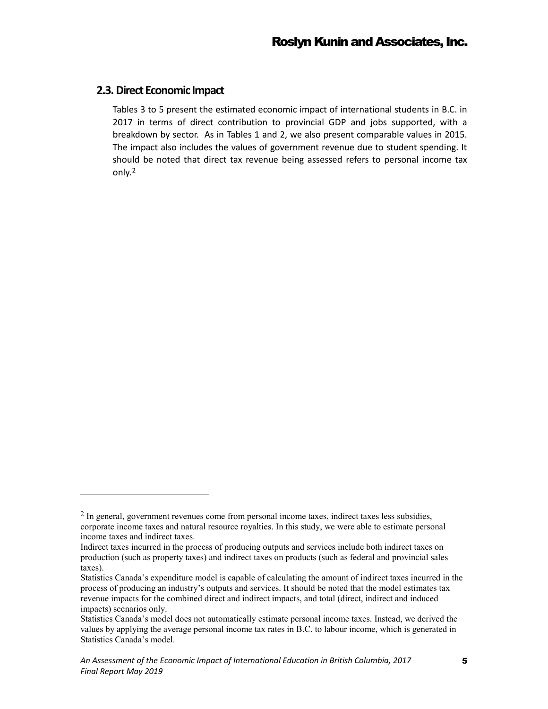#### <span id="page-9-0"></span>**2.3.Direct Economic Impact**

 $\overline{a}$ 

Tables 3 to 5 present the estimated economic impact of international students in B.C. in 2017 in terms of direct contribution to provincial GDP and jobs supported, with a breakdown by sector. As in Tables 1 and 2, we also present comparable values in 2015. The impact also includes the values of government revenue due to student spending. It should be noted that direct tax revenue being assessed refers to personal income tax only.[2](#page-9-1)

<span id="page-9-1"></span><sup>&</sup>lt;sup>2</sup> In general, government revenues come from personal income taxes, indirect taxes less subsidies, corporate income taxes and natural resource royalties. In this study, we were able to estimate personal income taxes and indirect taxes.

Indirect taxes incurred in the process of producing outputs and services include both indirect taxes on production (such as property taxes) and indirect taxes on products (such as federal and provincial sales taxes).

Statistics Canada's expenditure model is capable of calculating the amount of indirect taxes incurred in the process of producing an industry's outputs and services. It should be noted that the model estimates tax revenue impacts for the combined direct and indirect impacts, and total (direct, indirect and induced impacts) scenarios only.

Statistics Canada's model does not automatically estimate personal income taxes. Instead, we derived the values by applying the average personal income tax rates in B.C. to labour income, which is generated in Statistics Canada's model.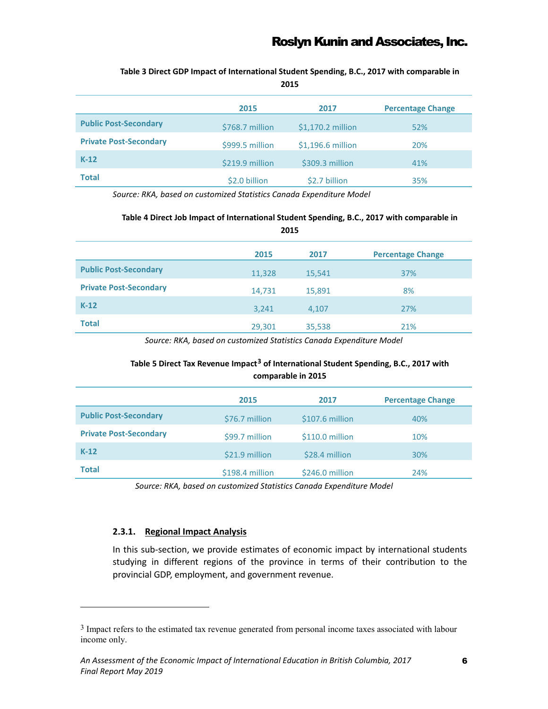|                               | 2015            | 2017              | <b>Percentage Change</b> |
|-------------------------------|-----------------|-------------------|--------------------------|
| <b>Public Post-Secondary</b>  | \$768.7 million | \$1,170.2 million | 52%                      |
| <b>Private Post-Secondary</b> | \$999.5 million | \$1,196.6 million | 20%                      |
| $K-12$                        | \$219.9 million | \$309.3 million   | 41%                      |
| <b>Total</b>                  | \$2.0 billion   | \$2.7 billion     | 35%                      |

**Table 3 Direct GDP Impact of International Student Spending, B.C., 2017 with comparable in 2015**

*Source: RKA, based on customized Statistics Canada Expenditure Model*

#### **Table 4 Direct Job Impact of International Student Spending, B.C., 2017 with comparable in**

| 2015                          |        |        |                          |
|-------------------------------|--------|--------|--------------------------|
|                               | 2015   | 2017   | <b>Percentage Change</b> |
| <b>Public Post-Secondary</b>  | 11,328 | 15,541 | 37%                      |
| <b>Private Post-Secondary</b> | 14,731 | 15,891 | 8%                       |
| $K-12$                        | 3,241  | 4,107  | 27%                      |
| <b>Total</b>                  | 29,301 | 35,538 | 21%                      |

*Source: RKA, based on customized Statistics Canada Expenditure Model*

#### **Table 5 Direct Tax Revenue Impact[3](#page-10-1) of International Student Spending, B.C., 2017 with comparable in 2015**

|                               | 2015            | 2017            | <b>Percentage Change</b> |
|-------------------------------|-----------------|-----------------|--------------------------|
| <b>Public Post-Secondary</b>  | \$76.7 million  | \$107.6 million | 40%                      |
| <b>Private Post-Secondary</b> | \$99.7 million  | \$110.0 million | 10%                      |
| $K-12$                        | \$21.9 million  | \$28.4 million  | 30%                      |
| <b>Total</b>                  | \$198.4 million | \$246.0 million | 24%                      |

*Source: RKA, based on customized Statistics Canada Expenditure Model*

#### <span id="page-10-0"></span>**2.3.1. Regional Impact Analysis**

 $\overline{a}$ 

In this sub-section, we provide estimates of economic impact by international students studying in different regions of the province in terms of their contribution to the provincial GDP, employment, and government revenue.

<span id="page-10-1"></span><sup>&</sup>lt;sup>3</sup> Impact refers to the estimated tax revenue generated from personal income taxes associated with labour income only.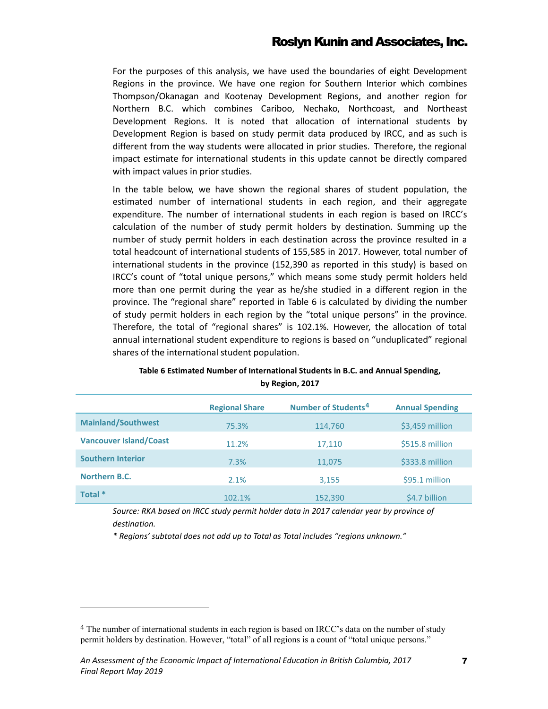For the purposes of this analysis, we have used the boundaries of eight Development Regions in the province. We have one region for Southern Interior which combines Thompson/Okanagan and Kootenay Development Regions, and another region for Northern B.C. which combines Cariboo, Nechako, Northcoast, and Northeast Development Regions. It is noted that allocation of international students by Development Region is based on study permit data produced by IRCC, and as such is different from the way students were allocated in prior studies. Therefore, the regional impact estimate for international students in this update cannot be directly compared with impact values in prior studies.

In the table below, we have shown the regional shares of student population, the estimated number of international students in each region, and their aggregate expenditure. The number of international students in each region is based on IRCC's calculation of the number of study permit holders by destination. Summing up the number of study permit holders in each destination across the province resulted in a total headcount of international students of 155,585 in 2017. However, total number of international students in the province (152,390 as reported in this study) is based on IRCC's count of "total unique persons," which means some study permit holders held more than one permit during the year as he/she studied in a different region in the province. The "regional share" reported in Table 6 is calculated by dividing the number of study permit holders in each region by the "total unique persons" in the province. Therefore, the total of "regional shares" is 102.1%. However, the allocation of total annual international student expenditure to regions is based on "unduplicated" regional shares of the international student population.

|                               | <b>Regional Share</b> | Number of Students <sup>4</sup> | <b>Annual Spending</b> |
|-------------------------------|-----------------------|---------------------------------|------------------------|
| <b>Mainland/Southwest</b>     | 75.3%                 | 114,760                         | \$3,459 million        |
| <b>Vancouver Island/Coast</b> | 11.2%                 | 17,110                          | \$515.8 million        |
| <b>Southern Interior</b>      | 7.3%                  | 11,075                          | \$333.8 million        |
| Northern B.C.                 | 2.1%                  | 3,155                           | \$95.1 million         |
| Total *                       | 102.1%                | 152,390                         | \$4.7 billion          |

#### **Table 6 Estimated Number of International Students in B.C. and Annual Spending, by Region, 2017**

*Source: RKA based on IRCC study permit holder data in 2017 calendar year by province of destination.*

*\* Regions' subtotal does not add up to Total as Total includes "regions unknown."* 

 $\overline{a}$ 

<span id="page-11-0"></span><sup>&</sup>lt;sup>4</sup> The number of international students in each region is based on IRCC's data on the number of study permit holders by destination. However, "total" of all regions is a count of "total unique persons."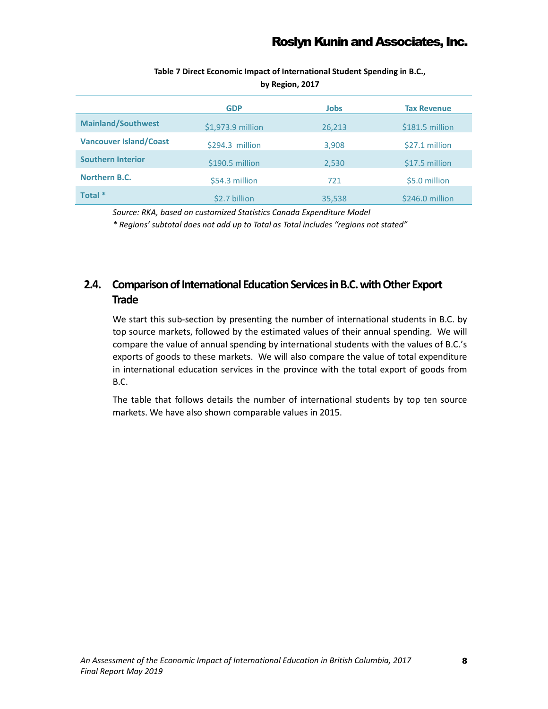|                               | <b>GDP</b>        | <b>Jobs</b> | <b>Tax Revenue</b> |
|-------------------------------|-------------------|-------------|--------------------|
| <b>Mainland/Southwest</b>     | \$1,973.9 million | 26,213      | \$181.5 million    |
| <b>Vancouver Island/Coast</b> | \$294.3 million   | 3,908       | \$27.1 million     |
| <b>Southern Interior</b>      | \$190.5 million   | 2,530       | \$17.5 million     |
| Northern B.C.                 | \$54.3 million    | 721         | \$5.0 million      |
| Total *                       | \$2.7 billion     | 35,538      | \$246.0 million    |

**Table 7 Direct Economic Impact of International Student Spending in B.C., by Region, 2017**

*Source: RKA, based on customized Statistics Canada Expenditure Model*

*\* Regions' subtotal does not add up to Total as Total includes "regions not stated"*

### <span id="page-12-0"></span>**2.4.** Comparison of International Education Services in B.C. with Other Export **Trade**

We start this sub-section by presenting the number of international students in B.C. by top source markets, followed by the estimated values of their annual spending. We will compare the value of annual spending by international students with the values of B.C.'s exports of goods to these markets. We will also compare the value of total expenditure in international education services in the province with the total export of goods from B.C.

The table that follows details the number of international students by top ten source markets. We have also shown comparable values in 2015.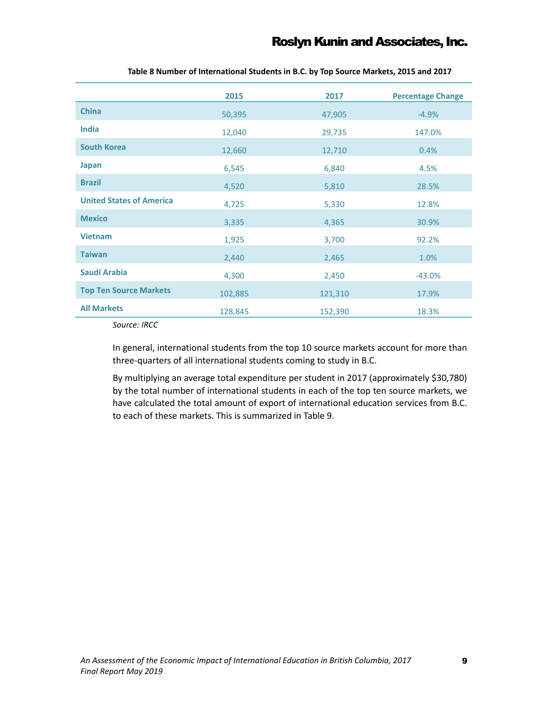|                                 | 2015    | 2017    | <b>Percentage Change</b> |
|---------------------------------|---------|---------|--------------------------|
| <b>China</b>                    | 50,395  | 47,905  | $-4.9%$                  |
| India                           | 12,040  | 29,735  | 147.0%                   |
| <b>South Korea</b>              | 12,660  | 12,710  | 0.4%                     |
| Japan                           | 6,545   | 6,840   | 4.5%                     |
| <b>Brazil</b>                   | 4,520   | 5,810   | 28.5%                    |
| <b>United States of America</b> | 4,725   | 5,330   | 12.8%                    |
| <b>Mexico</b>                   | 3,335   | 4,365   | 30.9%                    |
| <b>Vietnam</b>                  | 1,925   | 3,700   | 92.2%                    |
| <b>Taiwan</b>                   | 2,440   | 2,465   | 1.0%                     |
| Saudi Arabia                    | 4,300   | 2,450   | $-43.0%$                 |
| <b>Top Ten Source Markets</b>   | 102,885 | 121,310 | 17.9%                    |
| <b>All Markets</b>              | 128,845 | 152,390 | 18.3%                    |

**Table 8 Number of International Students in B.C. by Top Source Markets, 2015 and 2017**

*Source: IRCC*

In general, international students from the top 10 source markets account for more than three-quarters of all international students coming to study in B.C.

By multiplying an average total expenditure per student in 2017 (approximately \$30,780) by the total number of international students in each of the top ten source markets, we have calculated the total amount of export of international education services from B.C. to each of these markets. This is summarized in Table 9.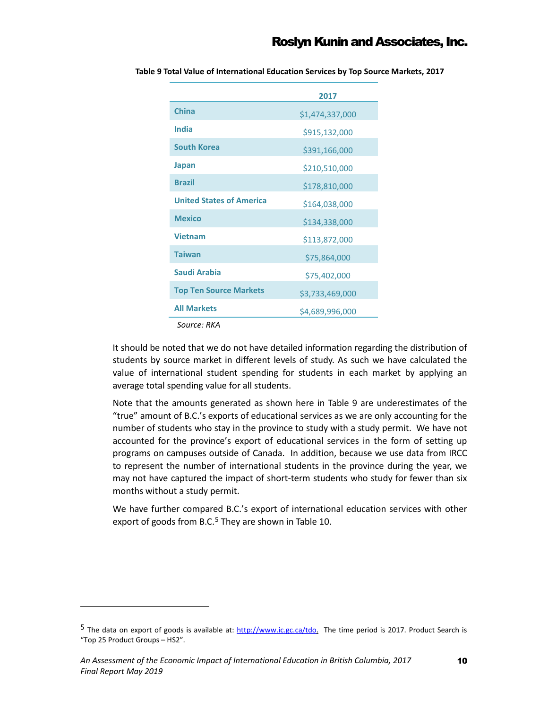|                                 | 2017            |
|---------------------------------|-----------------|
| China                           | \$1,474,337,000 |
| India                           | \$915,132,000   |
| <b>South Korea</b>              | \$391,166,000   |
| Japan                           | \$210,510,000   |
| <b>Brazil</b>                   | \$178,810,000   |
| <b>United States of America</b> | \$164,038,000   |
| <b>Mexico</b>                   | \$134,338,000   |
| <b>Vietnam</b>                  | \$113,872,000   |
| <b>Taiwan</b>                   | \$75,864,000    |
| Saudi Arabia                    | \$75,402,000    |
| <b>Top Ten Source Markets</b>   | \$3,733,469,000 |
| <b>All Markets</b>              | \$4,689,996,000 |

**Table 9 Total Value of International Education Services by Top Source Markets, 2017**

*Source: RKA*

 $\overline{a}$ 

It should be noted that we do not have detailed information regarding the distribution of students by source market in different levels of study. As such we have calculated the value of international student spending for students in each market by applying an average total spending value for all students.

Note that the amounts generated as shown here in Table 9 are underestimates of the "true" amount of B.C.'s exports of educational services as we are only accounting for the number of students who stay in the province to study with a study permit. We have not accounted for the province's export of educational services in the form of setting up programs on campuses outside of Canada. In addition, because we use data from IRCC to represent the number of international students in the province during the year, we may not have captured the impact of short-term students who study for fewer than six months without a study permit.

We have further compared B.C.'s export of international education services with other export of goods from B.C.<sup>[5](#page-14-0)</sup> They are shown in Table 10.

<span id="page-14-0"></span><sup>5</sup> The data on export of goods is available at: [http://www.ic.gc.ca/tdo.](http://www.ic.gc.ca/tdo) The time period is 2017. Product Search is "Top 25 Product Groups – HS2".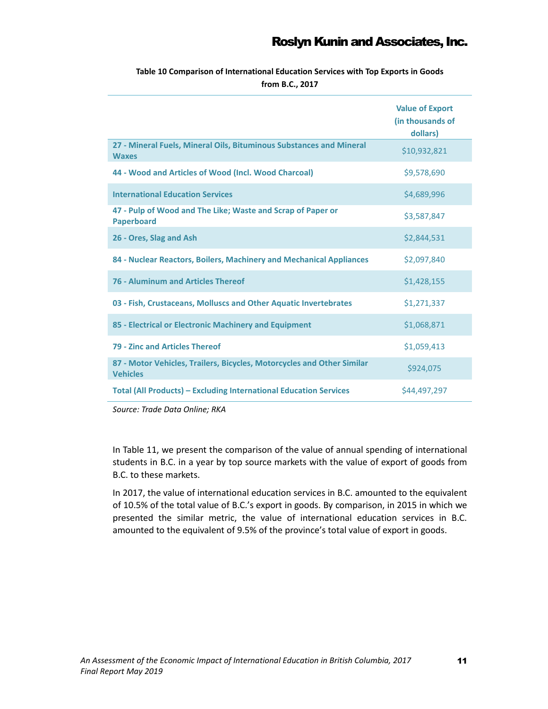**Table 10 Comparison of International Education Services with Top Exports in Goods from B.C., 2017**

|                                                                                           | <b>Value of Export</b><br>(in thousands of<br>dollars) |
|-------------------------------------------------------------------------------------------|--------------------------------------------------------|
| 27 - Mineral Fuels, Mineral Oils, Bituminous Substances and Mineral<br><b>Waxes</b>       | \$10,932,821                                           |
| 44 - Wood and Articles of Wood (Incl. Wood Charcoal)                                      | \$9,578,690                                            |
| <b>International Education Services</b>                                                   | \$4,689,996                                            |
| 47 - Pulp of Wood and The Like; Waste and Scrap of Paper or<br><b>Paperboard</b>          | \$3,587,847                                            |
| 26 - Ores, Slag and Ash                                                                   | \$2,844,531                                            |
| 84 - Nuclear Reactors, Boilers, Machinery and Mechanical Appliances                       | \$2,097,840                                            |
| <b>76 - Aluminum and Articles Thereof</b>                                                 | \$1,428,155                                            |
| 03 - Fish, Crustaceans, Molluscs and Other Aquatic Invertebrates                          | \$1,271,337                                            |
| 85 - Electrical or Electronic Machinery and Equipment                                     | \$1,068,871                                            |
| 79 - Zinc and Articles Thereof                                                            | \$1,059,413                                            |
| 87 - Motor Vehicles, Trailers, Bicycles, Motorcycles and Other Similar<br><b>Vehicles</b> | \$924,075                                              |
| <b>Total (All Products) - Excluding International Education Services</b>                  | \$44,497,297                                           |

*Source: Trade Data Online; RKA*

In Table 11, we present the comparison of the value of annual spending of international students in B.C. in a year by top source markets with the value of export of goods from B.C. to these markets.

In 2017, the value of international education services in B.C. amounted to the equivalent of 10.5% of the total value of B.C.'s export in goods. By comparison, in 2015 in which we presented the similar metric, the value of international education services in B.C. amounted to the equivalent of 9.5% of the province's total value of export in goods.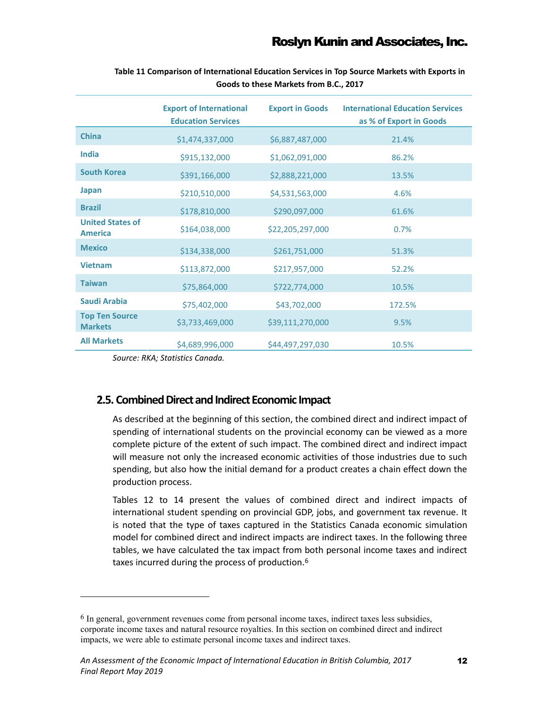|                                           | <b>Export of International</b><br><b>Education Services</b> | <b>Export in Goods</b> | <b>International Education Services</b><br>as % of Export in Goods |
|-------------------------------------------|-------------------------------------------------------------|------------------------|--------------------------------------------------------------------|
| <b>China</b>                              | \$1,474,337,000                                             | \$6,887,487,000        | 21.4%                                                              |
| <b>India</b>                              | \$915,132,000                                               | \$1,062,091,000        | 86.2%                                                              |
| <b>South Korea</b>                        | \$391,166,000                                               | \$2,888,221,000        | 13.5%                                                              |
| Japan                                     | \$210,510,000                                               | \$4,531,563,000        | 4.6%                                                               |
| <b>Brazil</b>                             | \$178,810,000                                               | \$290,097,000          | 61.6%                                                              |
| <b>United States of</b><br><b>America</b> | \$164,038,000                                               | \$22,205,297,000       | 0.7%                                                               |
| <b>Mexico</b>                             | \$134,338,000                                               | \$261,751,000          | 51.3%                                                              |
| <b>Vietnam</b>                            | \$113,872,000                                               | \$217,957,000          | 52.2%                                                              |
| <b>Taiwan</b>                             | \$75,864,000                                                | \$722,774,000          | 10.5%                                                              |
| Saudi Arabia                              | \$75,402,000                                                | \$43,702,000           | 172.5%                                                             |
| <b>Top Ten Source</b><br><b>Markets</b>   | \$3,733,469,000                                             | \$39,111,270,000       | 9.5%                                                               |
| <b>All Markets</b>                        | \$4,689,996,000                                             | \$44,497,297,030       | 10.5%                                                              |

**Table 11 Comparison of International Education Services in Top Source Markets with Exports in Goods to these Markets from B.C., 2017**

*Source: RKA; Statistics Canada.*

 $\overline{a}$ 

#### <span id="page-16-0"></span>**2.5. Combined Direct and Indirect Economic Impact**

As described at the beginning of this section, the combined direct and indirect impact of spending of international students on the provincial economy can be viewed as a more complete picture of the extent of such impact. The combined direct and indirect impact will measure not only the increased economic activities of those industries due to such spending, but also how the initial demand for a product creates a chain effect down the production process.

Tables 12 to 14 present the values of combined direct and indirect impacts of international student spending on provincial GDP, jobs, and government tax revenue. It is noted that the type of taxes captured in the Statistics Canada economic simulation model for combined direct and indirect impacts are indirect taxes. In the following three tables, we have calculated the tax impact from both personal income taxes and indirect taxes incurred during the process of production.<sup>[6](#page-16-1)</sup>

<span id="page-16-1"></span> $<sup>6</sup>$  In general, government revenues come from personal income taxes, indirect taxes less subsidies,</sup> corporate income taxes and natural resource royalties. In this section on combined direct and indirect impacts, we were able to estimate personal income taxes and indirect taxes.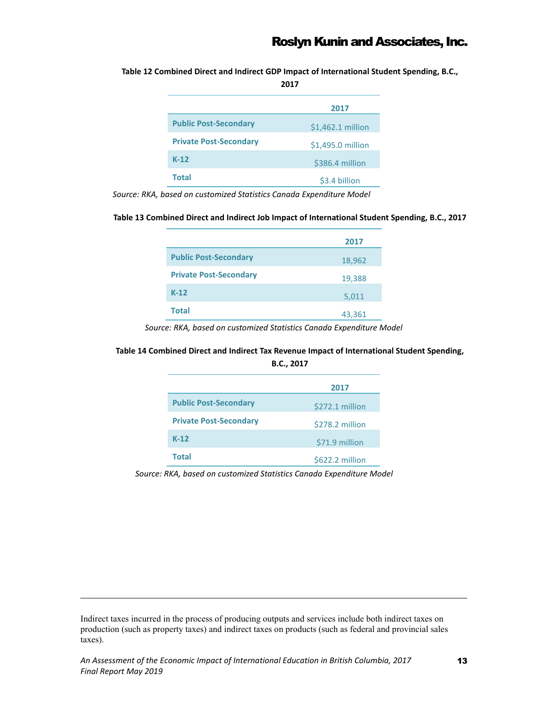**Table 12 Combined Direct and Indirect GDP Impact of International Student Spending, B.C.,** 

**2017** 

|                               | 2017              |
|-------------------------------|-------------------|
| <b>Public Post-Secondary</b>  | \$1,462.1 million |
| <b>Private Post-Secondary</b> | \$1,495.0 million |
| $K-12$                        | \$386.4 million   |
| Total                         | \$3.4 billion     |

*Source: RKA, based on customized Statistics Canada Expenditure Model*

#### **Table 13 Combined Direct and Indirect Job Impact of International Student Spending, B.C., 2017**

|                               | 2017   |
|-------------------------------|--------|
| <b>Public Post-Secondary</b>  | 18,962 |
| <b>Private Post-Secondary</b> | 19,388 |
| $K-12$                        | 5,011  |
| <b>Total</b>                  | 43,361 |

*Source: RKA, based on customized Statistics Canada Expenditure Model*

#### **Table 14 Combined Direct and Indirect Tax Revenue Impact of International Student Spending, B.C., 2017**

|                               | 2017            |
|-------------------------------|-----------------|
| <b>Public Post-Secondary</b>  | \$272.1 million |
| <b>Private Post-Secondary</b> | \$278.2 million |
| $K-12$                        | \$71.9 million  |
| Total                         | \$622.2 million |

*Source: RKA, based on customized Statistics Canada Expenditure Model*

Indirect taxes incurred in the process of producing outputs and services include both indirect taxes on production (such as property taxes) and indirect taxes on products (such as federal and provincial sales taxes).

 $\overline{a}$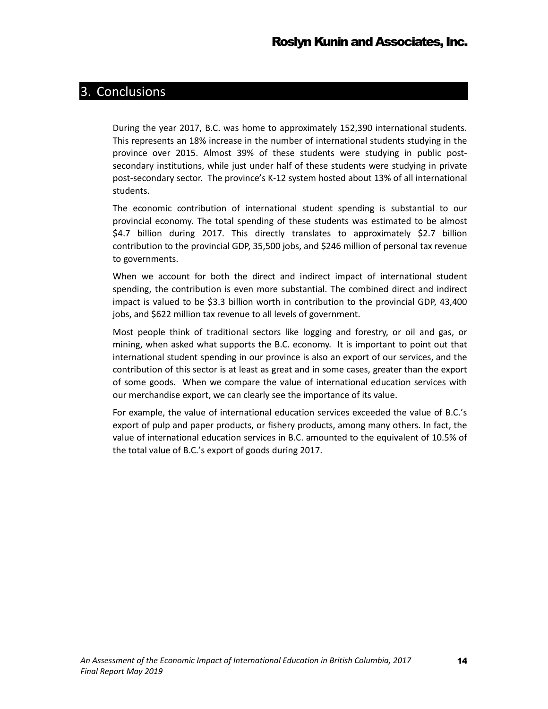### <span id="page-18-0"></span>3. Conclusions

During the year 2017, B.C. was home to approximately 152,390 international students. This represents an 18% increase in the number of international students studying in the province over 2015. Almost 39% of these students were studying in public postsecondary institutions, while just under half of these students were studying in private post-secondary sector. The province's K-12 system hosted about 13% of all international students.

The economic contribution of international student spending is substantial to our provincial economy. The total spending of these students was estimated to be almost \$4.7 billion during 2017. This directly translates to approximately \$2.7 billion contribution to the provincial GDP, 35,500 jobs, and \$246 million of personal tax revenue to governments.

When we account for both the direct and indirect impact of international student spending, the contribution is even more substantial. The combined direct and indirect impact is valued to be \$3.3 billion worth in contribution to the provincial GDP, 43,400 jobs, and \$622 million tax revenue to all levels of government.

Most people think of traditional sectors like logging and forestry, or oil and gas, or mining, when asked what supports the B.C. economy. It is important to point out that international student spending in our province is also an export of our services, and the contribution of this sector is at least as great and in some cases, greater than the export of some goods. When we compare the value of international education services with our merchandise export, we can clearly see the importance of its value.

For example, the value of international education services exceeded the value of B.C.'s export of pulp and paper products, or fishery products, among many others. In fact, the value of international education services in B.C. amounted to the equivalent of 10.5% of the total value of B.C.'s export of goods during 2017.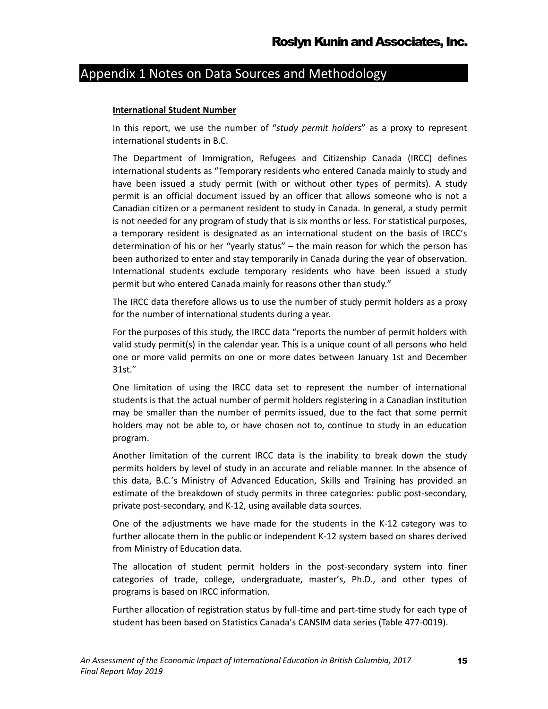# <span id="page-19-0"></span>Appendix 1 Notes on Data Sources and Methodology

#### **International Student Number**

In this report, we use the number of "*study permit holders*" as a proxy to represent international students in B.C.

The Department of Immigration, Refugees and Citizenship Canada (IRCC) defines international students as "Temporary residents who entered Canada mainly to study and have been issued a study permit (with or without other types of permits). A study permit is an official document issued by an officer that allows someone who is not a Canadian citizen or a permanent resident to study in Canada. In general, a study permit is not needed for any program of study that is six months or less. For statistical purposes, a temporary resident is designated as an international student on the basis of IRCC's determination of his or her "yearly status" – the main reason for which the person has been authorized to enter and stay temporarily in Canada during the year of observation. International students exclude temporary residents who have been issued a study permit but who entered Canada mainly for reasons other than study."

The IRCC data therefore allows us to use the number of study permit holders as a proxy for the number of international students during a year.

For the purposes of this study, the IRCC data "reports the number of permit holders with valid study permit(s) in the calendar year. This is a unique count of all persons who held one or more valid permits on one or more dates between January 1st and December 31st."

One limitation of using the IRCC data set to represent the number of international students is that the actual number of permit holders registering in a Canadian institution may be smaller than the number of permits issued, due to the fact that some permit holders may not be able to, or have chosen not to, continue to study in an education program.

Another limitation of the current IRCC data is the inability to break down the study permits holders by level of study in an accurate and reliable manner. In the absence of this data, B.C.'s Ministry of Advanced Education, Skills and Training has provided an estimate of the breakdown of study permits in three categories: public post-secondary, private post-secondary, and K-12, using available data sources.

One of the adjustments we have made for the students in the K-12 category was to further allocate them in the public or independent K-12 system based on shares derived from Ministry of Education data.

The allocation of student permit holders in the post-secondary system into finer categories of trade, college, undergraduate, master's, Ph.D., and other types of programs is based on IRCC information.

Further allocation of registration status by full-time and part-time study for each type of student has been based on Statistics Canada's CANSIM data series (Table 477-0019).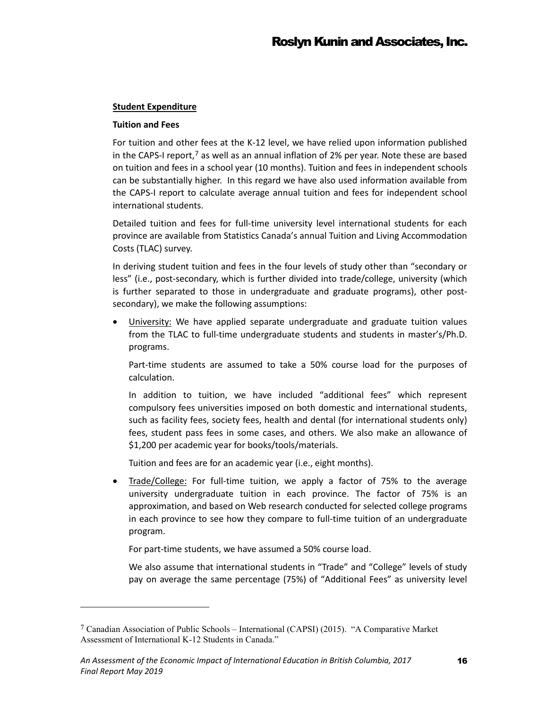#### **Student Expenditure**

#### **Tuition and Fees**

 $\overline{a}$ 

For tuition and other fees at the K-12 level, we have relied upon information published in the CAPS-I report,<sup>[7](#page-20-0)</sup> as well as an annual inflation of 2% per year. Note these are based on tuition and fees in a school year (10 months). Tuition and fees in independent schools can be substantially higher. In this regard we have also used information available from the CAPS-I report to calculate average annual tuition and fees for independent school international students.

Detailed tuition and fees for full-time university level international students for each province are available from Statistics Canada's annual Tuition and Living Accommodation Costs (TLAC) survey.

In deriving student tuition and fees in the four levels of study other than "secondary or less" (i.e., post-secondary, which is further divided into trade/college, university (which is further separated to those in undergraduate and graduate programs), other postsecondary), we make the following assumptions:

• University: We have applied separate undergraduate and graduate tuition values from the TLAC to full-time undergraduate students and students in master's/Ph.D. programs.

Part-time students are assumed to take a 50% course load for the purposes of calculation.

In addition to tuition, we have included "additional fees" which represent compulsory fees universities imposed on both domestic and international students, such as facility fees, society fees, health and dental (for international students only) fees, student pass fees in some cases, and others. We also make an allowance of \$1,200 per academic year for books/tools/materials.

Tuition and fees are for an academic year (i.e., eight months).

• Trade/College: For full-time tuition, we apply a factor of 75% to the average university undergraduate tuition in each province. The factor of 75% is an approximation, and based on Web research conducted for selected college programs in each province to see how they compare to full-time tuition of an undergraduate program.

For part-time students, we have assumed a 50% course load.

We also assume that international students in "Trade" and "College" levels of study pay on average the same percentage (75%) of "Additional Fees" as university level

<span id="page-20-0"></span><sup>7</sup> Canadian Association of Public Schools – International (CAPSI) (2015). "A Comparative Market Assessment of International K-12 Students in Canada."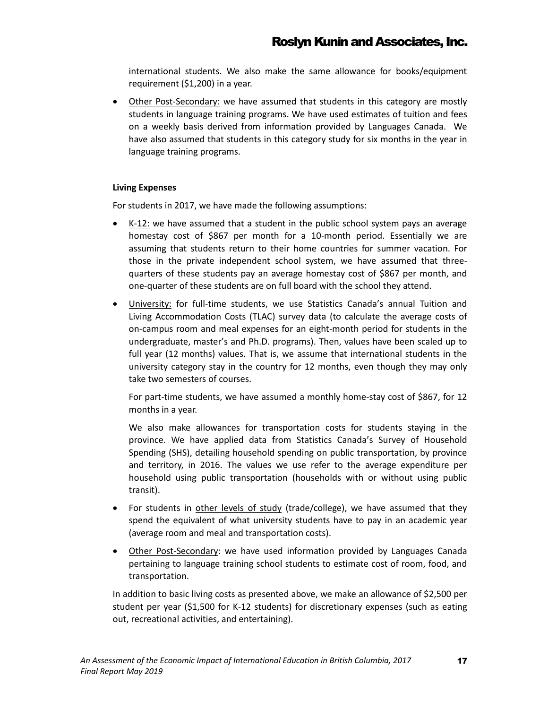international students. We also make the same allowance for books/equipment requirement (\$1,200) in a year.

• Other Post-Secondary: we have assumed that students in this category are mostly students in language training programs. We have used estimates of tuition and fees on a weekly basis derived from information provided by Languages Canada. We have also assumed that students in this category study for six months in the year in language training programs.

#### **Living Expenses**

For students in 2017, we have made the following assumptions:

- K-12: we have assumed that a student in the public school system pays an average homestay cost of \$867 per month for a 10-month period. Essentially we are assuming that students return to their home countries for summer vacation. For those in the private independent school system, we have assumed that threequarters of these students pay an average homestay cost of \$867 per month, and one-quarter of these students are on full board with the school they attend.
- University: for full-time students, we use Statistics Canada's annual Tuition and Living Accommodation Costs (TLAC) survey data (to calculate the average costs of on-campus room and meal expenses for an eight-month period for students in the undergraduate, master's and Ph.D. programs). Then, values have been scaled up to full year (12 months) values. That is, we assume that international students in the university category stay in the country for 12 months, even though they may only take two semesters of courses.

For part-time students, we have assumed a monthly home-stay cost of \$867, for 12 months in a year.

We also make allowances for transportation costs for students staying in the province. We have applied data from Statistics Canada's Survey of Household Spending (SHS), detailing household spending on public transportation, by province and territory, in 2016. The values we use refer to the average expenditure per household using public transportation (households with or without using public transit).

- For students in other levels of study (trade/college), we have assumed that they spend the equivalent of what university students have to pay in an academic year (average room and meal and transportation costs).
- Other Post-Secondary: we have used information provided by Languages Canada pertaining to language training school students to estimate cost of room, food, and transportation.

In addition to basic living costs as presented above, we make an allowance of \$2,500 per student per year (\$1,500 for K-12 students) for discretionary expenses (such as eating out, recreational activities, and entertaining).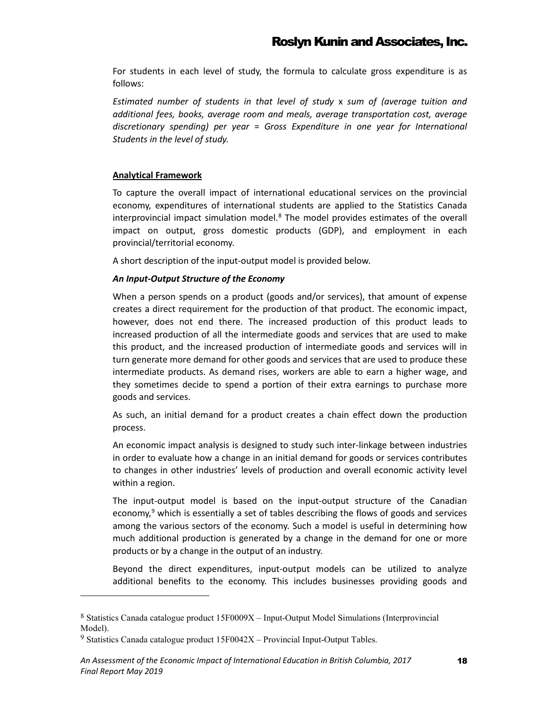For students in each level of study, the formula to calculate gross expenditure is as follows:

*Estimated number of students in that level of study* x *sum of (average tuition and additional fees, books, average room and meals, average transportation cost, average discretionary spending) per year* = *Gross Expenditure in one year for International Students in the level of study.*

#### **Analytical Framework**

To capture the overall impact of international educational services on the provincial economy, expenditures of international students are applied to the Statistics Canada interprovincial impact simulation model.<sup>[8](#page-22-0)</sup> The model provides estimates of the overall impact on output, gross domestic products (GDP), and employment in each provincial/territorial economy.

A short description of the input-output model is provided below.

#### *An Input-Output Structure of the Economy*

When a person spends on a product (goods and/or services), that amount of expense creates a direct requirement for the production of that product. The economic impact, however, does not end there. The increased production of this product leads to increased production of all the intermediate goods and services that are used to make this product, and the increased production of intermediate goods and services will in turn generate more demand for other goods and services that are used to produce these intermediate products. As demand rises, workers are able to earn a higher wage, and they sometimes decide to spend a portion of their extra earnings to purchase more goods and services.

As such, an initial demand for a product creates a chain effect down the production process.

An economic impact analysis is designed to study such inter-linkage between industries in order to evaluate how a change in an initial demand for goods or services contributes to changes in other industries' levels of production and overall economic activity level within a region.

The input-output model is based on the input-output structure of the Canadian economy, $9$  which is essentially a set of tables describing the flows of goods and services among the various sectors of the economy. Such a model is useful in determining how much additional production is generated by a change in the demand for one or more products or by a change in the output of an industry.

Beyond the direct expenditures, input-output models can be utilized to analyze additional benefits to the economy. This includes businesses providing goods and

 $\overline{a}$ 

<span id="page-22-0"></span><sup>8</sup> Statistics Canada catalogue product 15F0009X – Input-Output Model Simulations (Interprovincial Model).

<span id="page-22-1"></span><sup>&</sup>lt;sup>9</sup> Statistics Canada catalogue product  $15F0042X$  – Provincial Input-Output Tables.